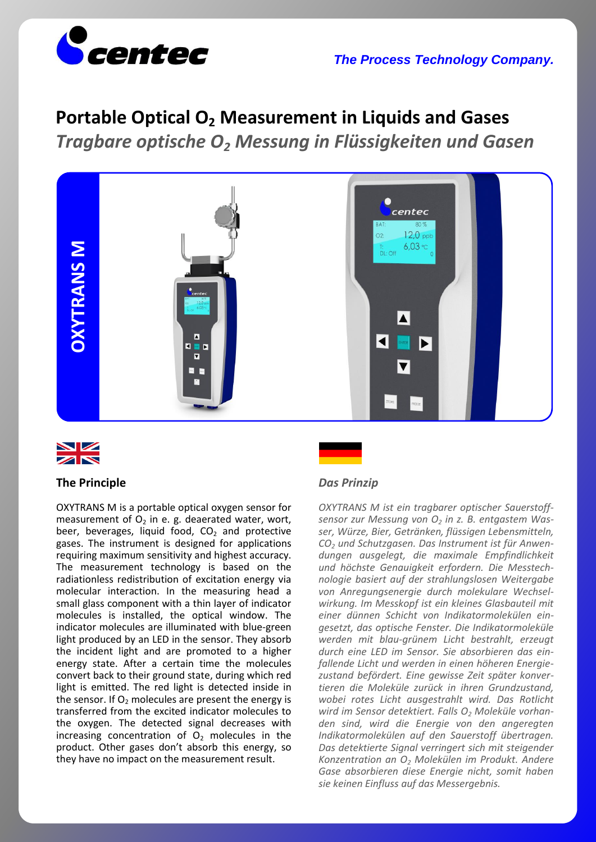

# **Portable Optical O<sup>2</sup> Measurement in Liquids and Gases**

*Tragbare optische O<sup>2</sup> Messung in Flüssigkeiten und Gasen*





## **The Principle**

OXYTRANS M is a portable optical oxygen sensor for measurement of  $O<sub>2</sub>$  in e. g. deaerated water, wort, beer, beverages, liquid food,  $CO<sub>2</sub>$  and protective gases. The instrument is designed for applications requiring maximum sensitivity and highest accuracy. The measurement technology is based on the radiationless redistribution of excitation energy via molecular interaction. In the measuring head a small glass component with a thin layer of indicator molecules is installed, the optical window. The indicator molecules are illuminated with blue-green light produced by an LED in the sensor. They absorb the incident light and are promoted to a higher energy state. After a certain time the molecules convert back to their ground state, during which red light is emitted. The red light is detected inside in the sensor. If  $O<sub>2</sub>$  molecules are present the energy is transferred from the excited indicator molecules to the oxygen. The detected signal decreases with increasing concentration of  $O<sub>2</sub>$  molecules in the product. Other gases don't absorb this energy, so they have no impact on the measurement result.

## *Das Prinzip*

*OXYTRANS M ist ein tragbarer optischer Sauerstoffsensor zur Messung von O<sup>2</sup> in z. B. entgastem Wasser, Würze, Bier, Getränken, flüssigen Lebensmitteln, CO<sup>2</sup> und Schutzgasen. Das Instrument ist für Anwendungen ausgelegt, die maximale Empfindlichkeit und höchste Genauigkeit erfordern. Die Messtechnologie basiert auf der strahlungslosen Weitergabe von Anregungsenergie durch molekulare Wechselwirkung. Im Messkopf ist ein kleines Glasbauteil mit einer dünnen Schicht von Indikatormolekülen eingesetzt, das optische Fenster. Die Indikatormoleküle werden mit blau-grünem Licht bestrahlt, erzeugt durch eine LED im Sensor. Sie absorbieren das einfallende Licht und werden in einen höheren Energiezustand befördert. Eine gewisse Zeit später konvertieren die Moleküle zurück in ihren Grundzustand, wobei rotes Licht ausgestrahlt wird. Das Rotlicht wird im Sensor detektiert. Falls O<sup>2</sup> Moleküle vorhanden sind, wird die Energie von den angeregten Indikatormolekülen auf den Sauerstoff übertragen. Das detektierte Signal verringert sich mit steigender Konzentration an O<sup>2</sup> Molekülen im Produkt. Andere Gase absorbieren diese Energie nicht, somit haben sie keinen Einfluss auf das Messergebnis.*